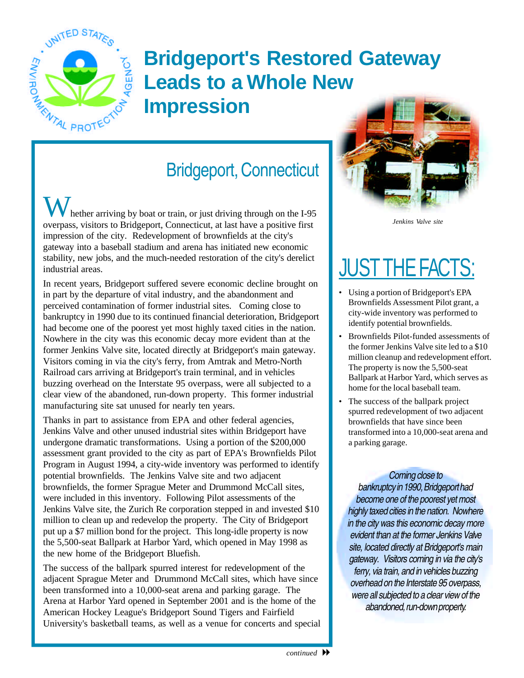

## **Bridgeport's Restored Gateway Leads to a Whole New Impression**

### Bridgeport, Connecticut

hether arriving by boat or train, or just driving through on the I-95 overpass, visitors to Bridgeport, Connecticut, at last have a positive first impression of the city. Redevelopment of brownfields at the city's gateway into a baseball stadium and arena has initiated new economic stability, new jobs, and the much-needed restoration of the city's derelict industrial areas.

In recent years, Bridgeport suffered severe economic decline brought on in part by the departure of vital industry, and the abandonment and perceived contamination of former industrial sites. Coming close to bankruptcy in 1990 due to its continued financial deterioration, Bridgeport had become one of the poorest yet most highly taxed cities in the nation. Nowhere in the city was this economic decay more evident than at the former Jenkins Valve site, located directly at Bridgeport's main gateway. Visitors coming in via the city's ferry, from Amtrak and Metro-North Railroad cars arriving at Bridgeport's train terminal, and in vehicles buzzing overhead on the Interstate 95 overpass, were all subjected to a clear view of the abandoned, run-down property. This former industrial manufacturing site sat unused for nearly ten years.

Thanks in part to assistance from EPA and other federal agencies, Jenkins Valve and other unused industrial sites within Bridgeport have undergone dramatic transformations. Using a portion of the \$200,000 assessment grant provided to the city as part of EPA's Brownfields Pilot Program in August 1994, a city-wide inventory was performed to identify potential brownfields. The Jenkins Valve site and two adjacent brownfields, the former Sprague Meter and Drummond McCall sites, were included in this inventory. Following Pilot assessments of the Jenkins Valve site, the Zurich Re corporation stepped in and invested \$10 million to clean up and redevelop the property. The City of Bridgeport put up a \$7 million bond for the project. This long-idle property is now the 5,500-seat Ballpark at Harbor Yard, which opened in May 1998 as the new home of the Bridgeport Bluefish.

The success of the ballpark spurred interest for redevelopment of the adjacent Sprague Meter and Drummond McCall sites, which have since been transformed into a 10,000-seat arena and parking garage. The Arena at Harbor Yard opened in September 2001 and is the home of the American Hockey League's Bridgeport Sound Tigers and Fairfield University's basketball teams, as well as a venue for concerts and special



*Jenkins Valve site* 

## <u>JUST THE FACTS:</u>

- Using a portion of Bridgeport's EPA Brownfields Assessment Pilot grant, a city-wide inventory was performed to identify potential brownfields.
- Brownfields Pilot-funded assessments of the former Jenkins Valve site led to a \$10 million cleanup and redevelopment effort. The property is now the 5,500-seat Ballpark at Harbor Yard, which serves as home for the local baseball team.
- The success of the ballpark project spurred redevelopment of two adjacent brownfields that have since been transformed into a 10,000-seat arena and a parking garage.

#### *Coming close to*

*bankruptcy in 1990, Bridgeport had become one of the poorest yet most highly taxed cities in the nation. Nowhere in the city was this economic decay more evident than at the former Jenkins Valve site, located directly at Bridgeport's main gateway. Visitors coming in via the city's ferry, via train, and in vehicles buzzing overhead on the Interstate 95 overpass, were all subjected to a clear view of the abandoned, run-down property.*